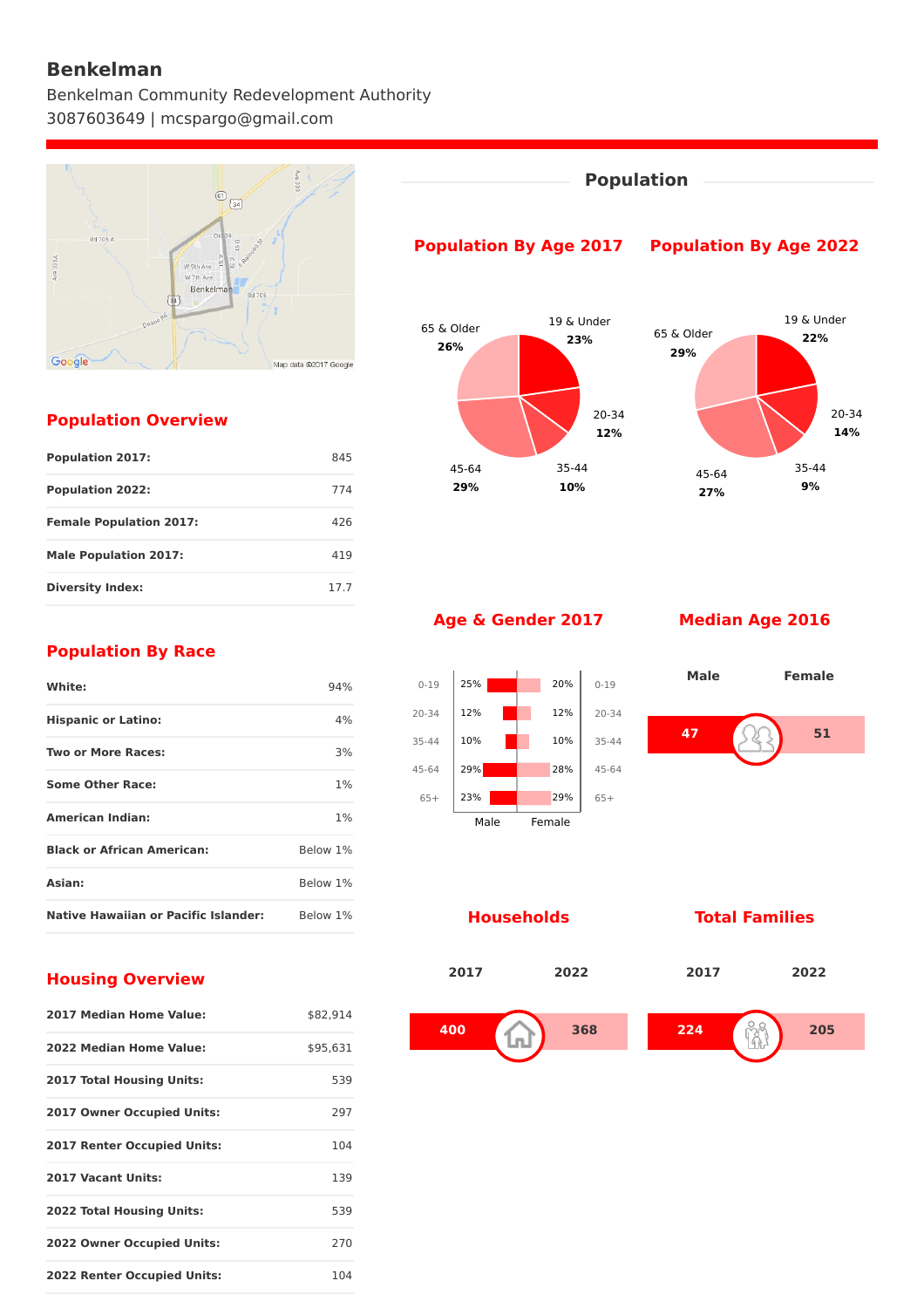## **Benkelman**

Benkelman Community Redevelopment Authority 3087603649 | mcspargo@gmail.com



#### **Population Overview**

| <b>Population 2017:</b>        | 845  |
|--------------------------------|------|
| <b>Population 2022:</b>        | 774  |
| <b>Female Population 2017:</b> | 426  |
| <b>Male Population 2017:</b>   | 419  |
| <b>Diversity Index:</b>        | 17.7 |



#### **Age & Gender 2017 Median Age 2016**

**29%**

0-19 20-34 35-44 45-64 65+

25% 12% 10% 29% 23% **10%**

0-19

20% 12% 10% 28% 29%

65+

45-64 **27%**

**9%**



Male Female

#### **Households Total Families**



#### **Population By Race**

| White:                                      | 94%      |
|---------------------------------------------|----------|
| <b>Hispanic or Latino:</b>                  | 4%       |
| <b>Two or More Races:</b>                   | 3%       |
| <b>Some Other Race:</b>                     | 1%       |
| <b>American Indian:</b>                     | 1%       |
| <b>Black or African American:</b>           | Below 1% |
| <b>Asian:</b>                               | Below 1% |
| <b>Native Hawaiian or Pacific Islander:</b> | Below 1% |

#### **Housing Overview**

| 2017 Median Home Value:            | \$82.914 |
|------------------------------------|----------|
| 2022 Median Home Value:            | \$95,631 |
| <b>2017 Total Housing Units:</b>   | 539      |
| <b>2017 Owner Occupied Units:</b>  | 297      |
| <b>2017 Renter Occupied Units:</b> | 104      |
| 2017 Vacant Units:                 | 139      |
| <b>2022 Total Housing Units:</b>   | 539      |
| <b>2022 Owner Occupied Units:</b>  | 270      |
| <b>2022 Renter Occupied Units:</b> | 104      |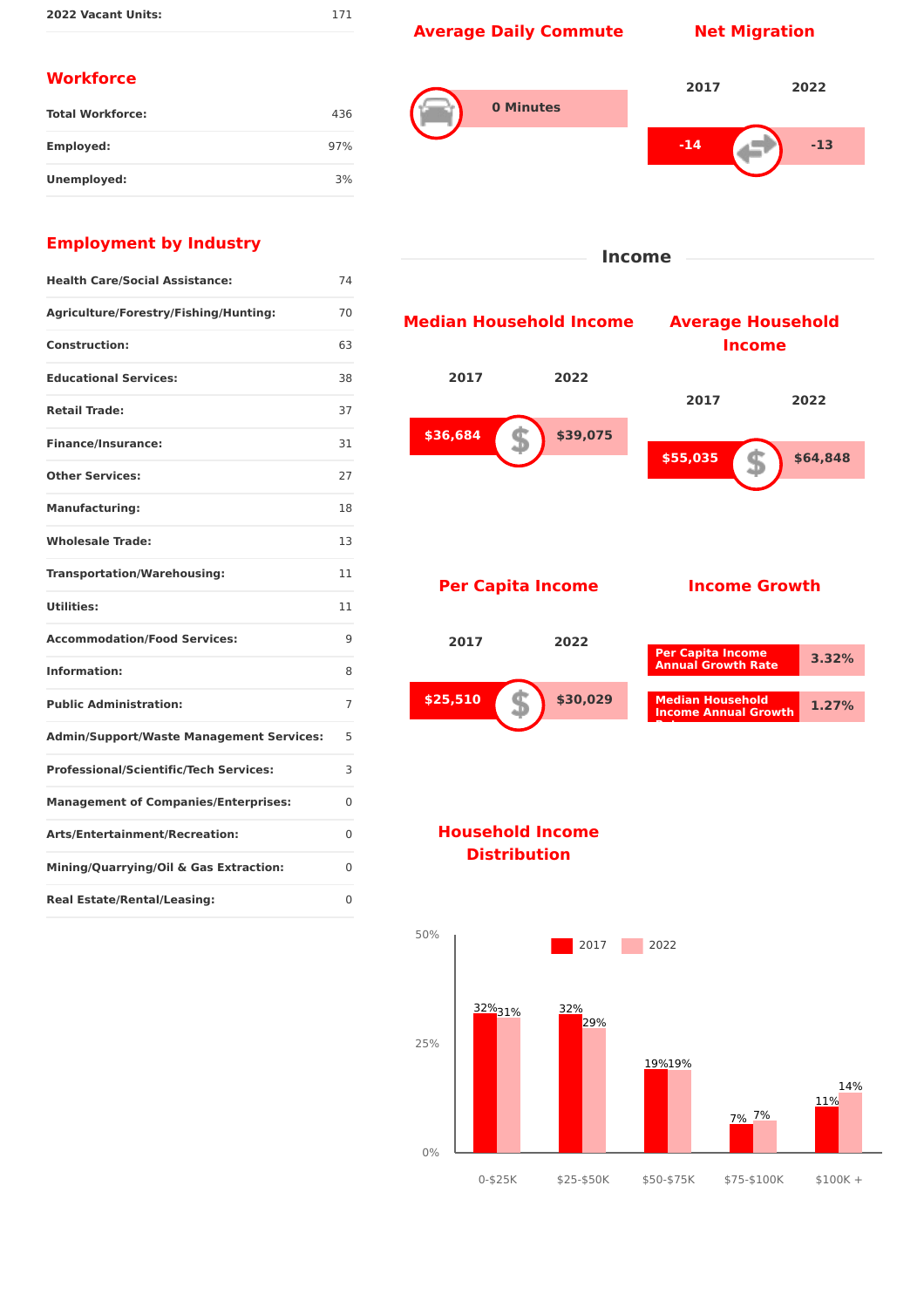# **Average Daily Commute Net Migration**

171

### **Workforce**

| <b>Total Workforce:</b> | 436 |
|-------------------------|-----|
| Employed:               | 97% |
| Unemployed:             | 3%  |



**Income**

### **Employment by Industry**

| <b>Health Care/Social Assistance:</b>           | 74 |
|-------------------------------------------------|----|
| Agriculture/Forestry/Fishing/Hunting:           | 70 |
| <b>Construction:</b>                            | 63 |
| <b>Educational Services:</b>                    | 38 |
| <b>Retail Trade:</b>                            | 37 |
| <b>Finance/Insurance:</b>                       | 31 |
| <b>Other Services:</b>                          | 27 |
| <b>Manufacturing:</b>                           | 18 |
| <b>Wholesale Trade:</b>                         | 13 |
| <b>Transportation/Warehousing:</b>              | 11 |
| <b>Utilities:</b>                               | 11 |
| <b>Accommodation/Food Services:</b>             | 9  |
| Information:                                    | 8  |
| <b>Public Administration:</b>                   | 7  |
| <b>Admin/Support/Waste Management Services:</b> | 5  |
| <b>Professional/Scientific/Tech Services:</b>   | 3  |
| <b>Management of Companies/Enterprises:</b>     | 0  |
| Arts/Entertainment/Recreation:                  | 0  |
| Mining/Quarrying/Oil & Gas Extraction:          | 0  |
| <b>Real Estate/Rental/Leasing:</b>              | 0  |



#### **Household Income Distribution**